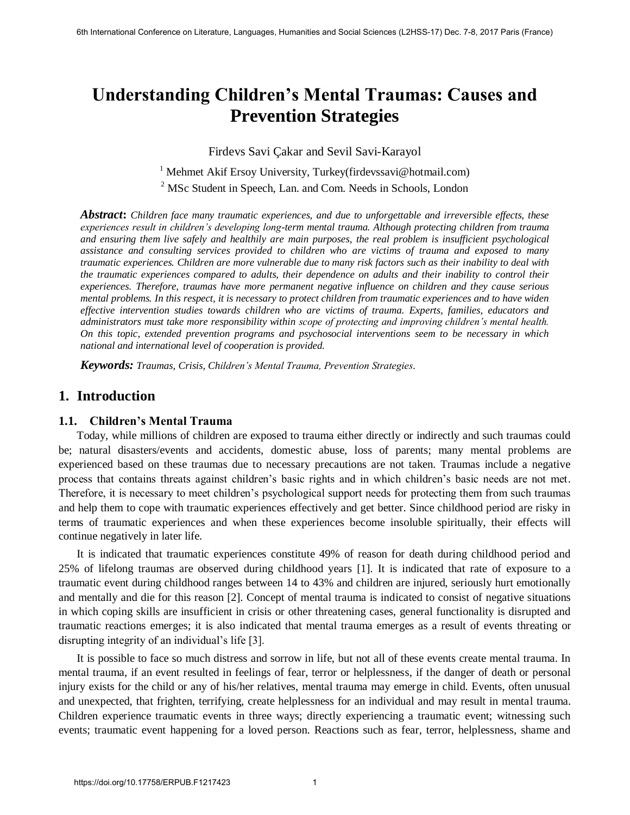# **Understanding Children's Mental Traumas: Causes and Prevention Strategies**

Firdevs Savi Çakar and Sevil Savi-Karayol

<sup>1</sup> Mehmet Akif Ersoy University, Turkey(firdevssavi@hotmail.com) <sup>2</sup> MSc Student in Speech, Lan. and Com. Needs in Schools, London

*Abstract***:** *Children face many traumatic experiences, and due to unforgettable and irreversible effects, these experiences result in children's developing long-term mental trauma. Although protecting children from trauma and ensuring them live safely and healthily are main purposes, the real problem is insufficient psychological assistance and consulting services provided to children who are victims of trauma and exposed to many traumatic experiences. Children are more vulnerable due to many risk factors such as their inability to deal with the traumatic experiences compared to adults, their dependence on adults and their inability to control their experiences. Therefore, traumas have more permanent negative influence on children and they cause serious mental problems. In this respect, it is necessary to protect children from traumatic experiences and to have widen effective intervention studies towards children who are victims of trauma. Experts, families, educators and administrators must take more responsibility within scope of protecting and improving children's mental health. On this topic, extended prevention programs and psychosocial interventions seem to be necessary in which national and international level of cooperation is provided.* 

*Keywords: Traumas, Crisis, Children's Mental Trauma, Prevention Strategies.*

## **1. Introduction**

#### **1.1. Children's Mental Trauma**

Today, while millions of children are exposed to trauma either directly or indirectly and such traumas could be; natural disasters/events and accidents, domestic abuse, loss of parents; many mental problems are experienced based on these traumas due to necessary precautions are not taken. Traumas include a negative process that contains threats against children's basic rights and in which children's basic needs are not met. Therefore, it is necessary to meet children's psychological support needs for protecting them from such traumas and help them to cope with traumatic experiences effectively and get better. Since childhood period are risky in terms of traumatic experiences and when these experiences become insoluble spiritually, their effects will continue negatively in later life.

It is indicated that traumatic experiences constitute 49% of reason for death during childhood period and 25% of lifelong traumas are observed during childhood years [1]. It is indicated that rate of exposure to a traumatic event during childhood ranges between 14 to 43% and children are injured, seriously hurt emotionally and mentally and die for this reason [2]. Concept of mental trauma is indicated to consist of negative situations in which coping skills are insufficient in crisis or other threatening cases, general functionality is disrupted and traumatic reactions emerges; it is also indicated that mental trauma emerges as a result of events threating or disrupting integrity of an individual's life [3].

It is possible to face so much distress and sorrow in life, but not all of these events create mental trauma. In mental trauma, if an event resulted in feelings of fear, terror or helplessness, if the danger of death or personal injury exists for the child or any of his/her relatives, mental trauma may emerge in child. Events, often unusual and unexpected, that frighten, terrifying, create helplessness for an individual and may result in mental trauma. Children experience traumatic events in three ways; directly experiencing a traumatic event; witnessing such events; traumatic event happening for a loved person. Reactions such as fear, terror, helplessness, shame and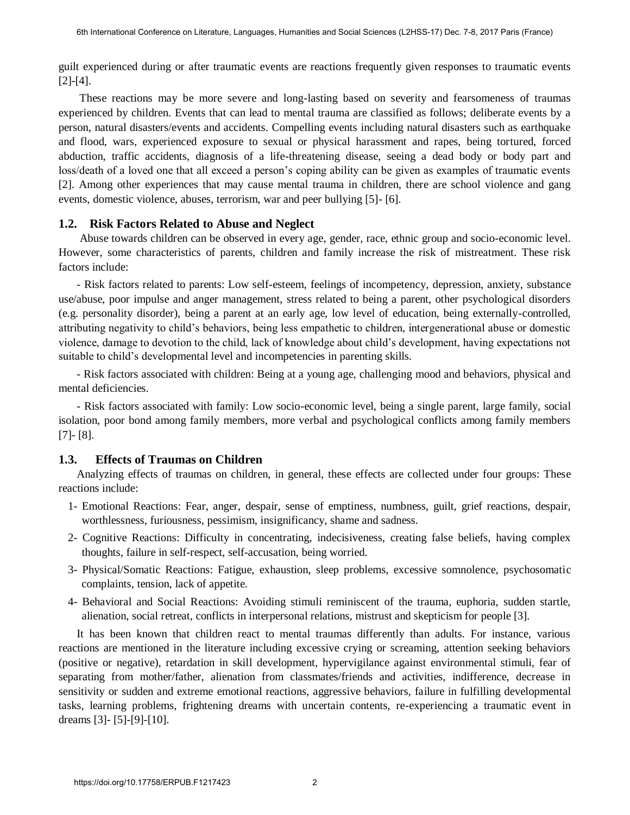guilt experienced during or after traumatic events are reactions frequently given responses to traumatic events [2]-[4].

 These reactions may be more severe and long-lasting based on severity and fearsomeness of traumas experienced by children. Events that can lead to mental trauma are classified as follows; deliberate events by a person, natural disasters/events and accidents. Compelling events including natural disasters such as earthquake and flood, wars, experienced exposure to sexual or physical harassment and rapes, being tortured, forced abduction, traffic accidents, diagnosis of a life-threatening disease, seeing a dead body or body part and loss/death of a loved one that all exceed a person's coping ability can be given as examples of traumatic events [2]. Among other experiences that may cause mental trauma in children, there are school violence and gang events, domestic violence, abuses, terrorism, war and peer bullying [5]- [6].

#### **1.2. Risk Factors Related to Abuse and Neglect**

 Abuse towards children can be observed in every age, gender, race, ethnic group and socio-economic level. However, some characteristics of parents, children and family increase the risk of mistreatment. These risk factors include:

- Risk factors related to parents: Low self-esteem, feelings of incompetency, depression, anxiety, substance use/abuse, poor impulse and anger management, stress related to being a parent, other psychological disorders (e.g. personality disorder), being a parent at an early age, low level of education, being externally-controlled, attributing negativity to child's behaviors, being less empathetic to children, intergenerational abuse or domestic violence, damage to devotion to the child, lack of knowledge about child's development, having expectations not suitable to child's developmental level and incompetencies in parenting skills.

- Risk factors associated with children: Being at a young age, challenging mood and behaviors, physical and mental deficiencies.

- Risk factors associated with family: Low socio-economic level, being a single parent, large family, social isolation, poor bond among family members, more verbal and psychological conflicts among family members [7]- [8].

#### **1.3. Effects of Traumas on Children**

Analyzing effects of traumas on children, in general, these effects are collected under four groups: These reactions include:

- 1- Emotional Reactions: Fear, anger, despair, sense of emptiness, numbness, guilt, grief reactions, despair, worthlessness, furiousness, pessimism, insignificancy, shame and sadness.
- 2- Cognitive Reactions: Difficulty in concentrating, indecisiveness, creating false beliefs, having complex thoughts, failure in self-respect, self-accusation, being worried.
- 3- Physical/Somatic Reactions: Fatigue, exhaustion, sleep problems, excessive somnolence, psychosomatic complaints, tension, lack of appetite.
- 4- Behavioral and Social Reactions: Avoiding stimuli reminiscent of the trauma, euphoria, sudden startle, alienation, social retreat, conflicts in interpersonal relations, mistrust and skepticism for people [3].

It has been known that children react to mental traumas differently than adults. For instance, various reactions are mentioned in the literature including excessive crying or screaming, attention seeking behaviors (positive or negative), retardation in skill development, hypervigilance against environmental stimuli, fear of separating from mother/father, alienation from classmates/friends and activities, indifference, decrease in sensitivity or sudden and extreme emotional reactions, aggressive behaviors, failure in fulfilling developmental tasks, learning problems, frightening dreams with uncertain contents, re-experiencing a traumatic event in dreams [3]- [5]-[9]-[10].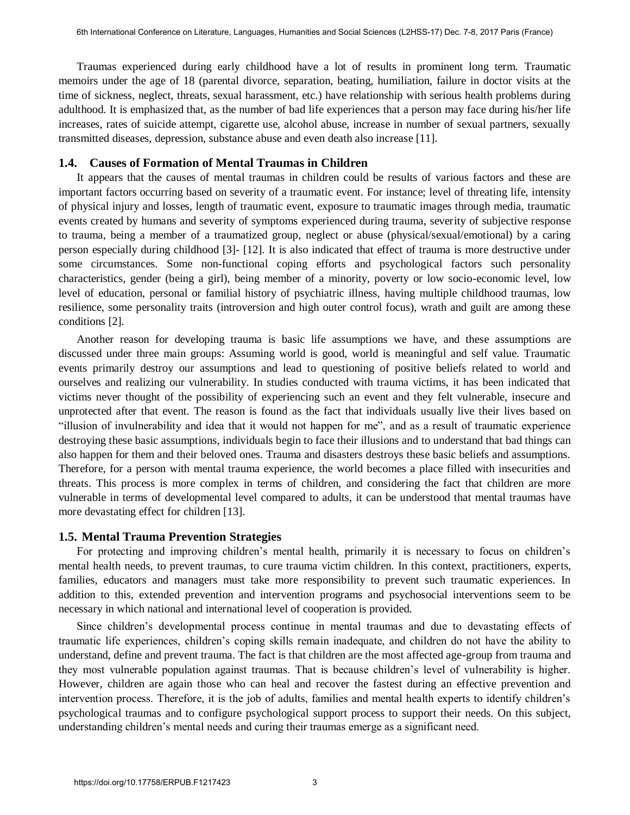Traumas experienced during early childhood have a lot of results in prominent long term. Traumatic memoirs under the age of 18 (parental divorce, separation, beating, humiliation, failure in doctor visits at the time of sickness, neglect, threats, sexual harassment, etc.) have relationship with serious health problems during adulthood. It is emphasized that, as the number of bad life experiences that a person may face during his/her life increases, rates of suicide attempt, cigarette use, alcohol abuse, increase in number of sexual partners, sexually transmitted diseases, depression, substance abuse and even death also increase [11].

#### **1.4. Causes of Formation of Mental Traumas in Children**

It appears that the causes of mental traumas in children could be results of various factors and these are important factors occurring based on severity of a traumatic event. For instance; level of threating life, intensity of physical injury and losses, length of traumatic event, exposure to traumatic images through media, traumatic events created by humans and severity of symptoms experienced during trauma, severity of subjective response to trauma, being a member of a traumatized group, neglect or abuse (physical/sexual/emotional) by a caring person especially during childhood [3]- [12]. It is also indicated that effect of trauma is more destructive under some circumstances. Some non-functional coping efforts and psychological factors such personality characteristics, gender (being a girl), being member of a minority, poverty or low socio-economic level, low level of education, personal or familial history of psychiatric illness, having multiple childhood traumas, low resilience, some personality traits (introversion and high outer control focus), wrath and guilt are among these conditions [2].

Another reason for developing trauma is basic life assumptions we have, and these assumptions are discussed under three main groups: Assuming world is good, world is meaningful and self value. Traumatic events primarily destroy our assumptions and lead to questioning of positive beliefs related to world and ourselves and realizing our vulnerability. In studies conducted with trauma victims, it has been indicated that victims never thought of the possibility of experiencing such an event and they felt vulnerable, insecure and unprotected after that event. The reason is found as the fact that individuals usually live their lives based on "illusion of invulnerability and idea that it would not happen for me", and as a result of traumatic experience destroying these basic assumptions, individuals begin to face their illusions and to understand that bad things can also happen for them and their beloved ones. Trauma and disasters destroys these basic beliefs and assumptions. Therefore, for a person with mental trauma experience, the world becomes a place filled with insecurities and threats. This process is more complex in terms of children, and considering the fact that children are more vulnerable in terms of developmental level compared to adults, it can be understood that mental traumas have more devastating effect for children [13].

#### **1.5. Mental Trauma Prevention Strategies**

For protecting and improving children's mental health, primarily it is necessary to focus on children's mental health needs, to prevent traumas, to cure trauma victim children. In this context, practitioners, experts, families, educators and managers must take more responsibility to prevent such traumatic experiences. In addition to this, extended prevention and intervention programs and psychosocial interventions seem to be necessary in which national and international level of cooperation is provided.

Since children's developmental process continue in mental traumas and due to devastating effects of traumatic life experiences, children's coping skills remain inadequate, and children do not have the ability to understand, define and prevent trauma. The fact is that children are the most affected age-group from trauma and they most vulnerable population against traumas. That is because children's level of vulnerability is higher. However, children are again those who can heal and recover the fastest during an effective prevention and intervention process. Therefore, it is the job of adults, families and mental health experts to identify children's psychological traumas and to configure psychological support process to support their needs. On this subject, understanding children's mental needs and curing their traumas emerge as a significant need.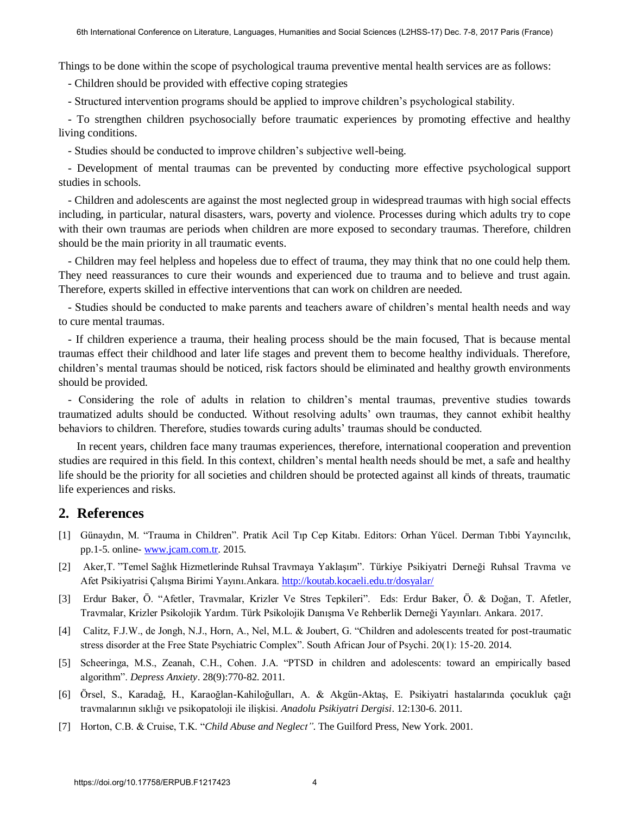Things to be done within the scope of psychological trauma preventive mental health services are as follows:

- Children should be provided with effective coping strategies

- Structured intervention programs should be applied to improve children's psychological stability.

- To strengthen children psychosocially before traumatic experiences by promoting effective and healthy living conditions.

- Studies should be conducted to improve children's subjective well-being.

- Development of mental traumas can be prevented by conducting more effective psychological support studies in schools.

- Children and adolescents are against the most neglected group in widespread traumas with high social effects including, in particular, natural disasters, wars, poverty and violence. Processes during which adults try to cope with their own traumas are periods when children are more exposed to secondary traumas. Therefore, children should be the main priority in all traumatic events.

- Children may feel helpless and hopeless due to effect of trauma, they may think that no one could help them. They need reassurances to cure their wounds and experienced due to trauma and to believe and trust again. Therefore, experts skilled in effective interventions that can work on children are needed.

- Studies should be conducted to make parents and teachers aware of children's mental health needs and way to cure mental traumas.

- If children experience a trauma, their healing process should be the main focused, That is because mental traumas effect their childhood and later life stages and prevent them to become healthy individuals. Therefore, children's mental traumas should be noticed, risk factors should be eliminated and healthy growth environments should be provided.

- Considering the role of adults in relation to children's mental traumas, preventive studies towards traumatized adults should be conducted. Without resolving adults' own traumas, they cannot exhibit healthy behaviors to children. Therefore, studies towards curing adults' traumas should be conducted.

In recent years, children face many traumas experiences, therefore, international cooperation and prevention studies are required in this field. In this context, children's mental health needs should be met, a safe and healthy life should be the priority for all societies and children should be protected against all kinds of threats, traumatic life experiences and risks.

### **2. References**

- [1] Günaydın, M. "Trauma in Children". Pratik Acil Tıp Cep Kitabı. Editors: Orhan Yücel. Derman Tıbbi Yayıncılık, pp.1-5. online- [www.jcam.com.tr.](http://www.jcam.com.tr/) 2015.
- [2] Aker,T. "Temel Sağlık Hizmetlerinde Ruhsal Travmaya Yaklaşım". Türkiye Psikiyatri Derneği Ruhsal Travma ve Afet Psikiyatrisi Çalışma Birimi Yayını.Ankara.<http://koutab.kocaeli.edu.tr/dosyalar/>
- [3] Erdur Baker, Ö. "Afetler, Travmalar, Krizler Ve Stres Tepkileri". Eds: Erdur Baker, Ö. & Doğan, T. Afetler, Travmalar, Krizler Psikolojik Yardım. Türk Psikolojik Danışma Ve Rehberlik Derneği Yayınları. Ankara. 2017.
- [4] Calitz, F.J.W., de Jongh, N.J., Horn, A., Nel, M.L. & Joubert, G. "Children and adolescents treated for post-traumatic stress disorder at the Free State Psychiatric Complex". South African Jour of Psychi. 20(1): 15-20. 2014.
- [5] Scheeringa, M.S., Zeanah, C.H., Cohen. J.A. "PTSD in children and adolescents: toward an empirically based algorithm". *Depress Anxiety*. 28(9):770-82. 2011.
- [6] Örsel, S., Karadağ, H., Karaoğlan-Kahiloğulları, A. & Akgün-Aktaş, E. Psikiyatri hastalarında çocukluk çağı travmalarının sıklığı ve psikopatoloji ile ilişkisi. *Anadolu Psikiyatri Dergisi*. 12:130-6. 2011.
- [7] Horton, C.B. & Cruise, T.K. "*Child Abuse and Neglect"*. The Guilford Press, New York. 2001.